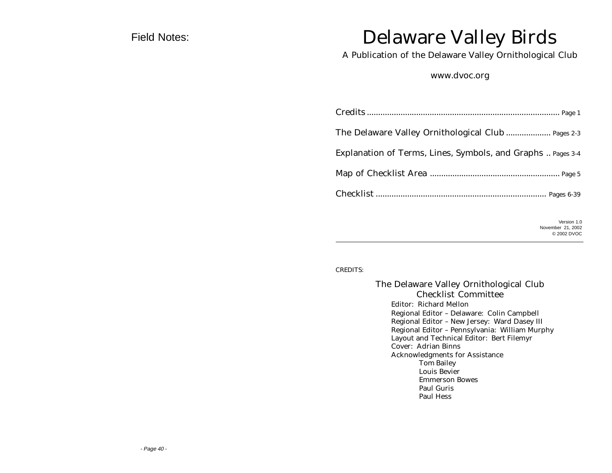### Field Notes:

## Delaware Valley Birds

A Publication of the Delaware Valley Ornithological Club

www.dvoc.org

| The Delaware Valley Ornithological Club  Pages 2-3          |
|-------------------------------------------------------------|
| Explanation of Terms, Lines, Symbols, and Graphs  Pages 3-4 |
|                                                             |
|                                                             |
| $V$ ersion 1 $\Omega$                                       |

Version 1.0 November 21, 2002 © 2002 DVOC

#### CREDITS:

The Delaware Valley Ornithological Club Checklist Committee Editor: Richard Mellon Regional Editor – Delaware: Colin Campbell Regional Editor – New Jersey: Ward Dasey III Regional Editor – Pennsylvania: William Murphy Layout and Technical Editor: Bert Filemyr Cover: Adrian Binns Acknowledgments for Assistance Tom Bailey Louis Bevier Emmerson Bowes Paul Guris Paul Hess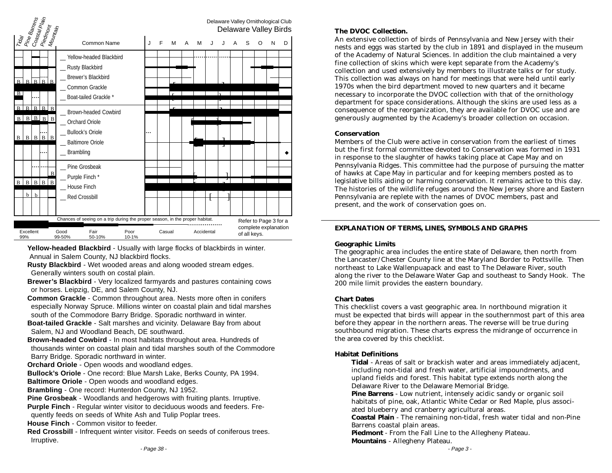

**Yellow-headed Blackbird** - Usually with large flocks of blackbirds in winter. Annual in Salem County, NJ blackbird flocks.

**Rusty Blackbird** - Wet wooded areas and along wooded stream edges. Generally winters south on costal plain.

**Brewer's Blackbird** - Very localized farmyards and pastures containing cows or horses. Leipzig, DE, and Salem County, NJ.

**Common Grackle** - Common throughout area. Nests more often in conifers especially Norway Spruce. Millions winter on coastal plain and tidal marshes south of the Commodore Barry Bridge. Sporadic northward in winter.

**Boat-tailed Grackle** - Salt marshes and vicinity. Delaware Bay from about Salem, NJ and Woodland Beach, DE southward.

**Brown-headed Cowbird** - In most habitats throughout area. Hundreds of thousands winter on coastal plain and tidal marshes south of the Commodore Barry Bridge. Sporadic northward in winter.

**Orchard Oriole** - Open woods and woodland edges.

**Bullock's Oriole** - One record: Blue Marsh Lake, Berks County, PA 1994.

**Baltimore Oriole** - Open woods and woodland edges.

**Brambling** - One record: Hunterdon County, NJ 1952.

**Pine Grosbeak** - Woodlands and hedgerows with fruiting plants. Irruptive.

**Purple Finch** - Regular winter visitor to deciduous woods and feeders. Fre-

quently feeds on seeds of White Ash and Tulip Poplar trees.

**House Finch** - Common visitor to feeder.

**Red Crossbill** - Infrequent winter visitor. Feeds on seeds of coniferous trees. Irruptive.

The DVOC Collection.<br>An extensive collection of birds of Pennsylvania and New Jersey with their<br>notes and extensive that his the slub in 1991 and displayed in the number An extensive concertori or birds or remisylvania and new seriscy with their<br>nests and eggs was started by the club in 1891 and displayed in the museum of the Academy of Natural Sciences. In addition the club maintained a very fine collection of skins which were kept separate from the Academy's collection and used extensively by members to illustrate talks or for study. This collection was always on hand for meetings that were held until early 1970s when the bird department moved to new quarters and it became necessary to incorporate the DVOC collection with that of the ornithology department for space considerations. Although the skins are used less as a consequence of the reorganization, they are available for DVOC use and are generously augmented by the Academy's broader collection on occasion.

#### **Conservation**

Members of the Club were active in conservation from the earliest of times but the first formal committee devoted to Conservation was formed in 1931 in response to the slaughter of hawks taking place at Cape May and on Pennsylvania Ridges. This committee had the purpose of pursuing the matter of hawks at Cape May in particular and for keeping members posted as to legislative bills aiding or harming conservation. It remains active to this day. The histories of the wildlife refuges around the New Jersey shore and Eastern Pennsylvania are replete with the names of DVOC members, past and present, and the work of conservation goes on.

#### **EXPLANATION OF TERMS, LINES, SYMBOLS AND GRAPHS**

#### **Geographic Limits**

The geographic area includes the entire state of Delaware, then north from the Lancaster/Chester County line at the Maryland Border to Pottsville. Then northeast to Lake Wallenpuapack and east to The Delaware River, south along the river to the Delaware Water Gap and southeast to Sandy Hook. The 200 mile limit provides the eastern boundary.

#### **Chart Dates**

This checklist covers a vast geographic area. In northbound migration it must be expected that birds will appear in the southernmost part of this area before they appear in the northern areas. The reverse will be true during southbound migration. These charts express the midrange of occurrence in the area covered by this checklist.

#### **Habitat Definitions**

**Tidal** - Areas of salt or brackish water and areas immediately adjacent, including non-tidal and fresh water, artificial impoundments, and upland fields and forest. This habitat type extends north along the Delaware River to the Delaware Memorial Bridge.

**Pine Barrens** - Low nutrient, intensely acidic sandy or organic soil habitats of pine, oak, Atlantic White Cedar or Red Maple, plus associated blueberry and cranberry agricultural areas.

**Coastal Plain** - The remaining non-tidal, fresh water tidal and non-Pine Barrens coastal plain areas.

**Piedmont** - From the Fall Line to the Allegheny Plateau. **Mountains** - Allegheny Plateau.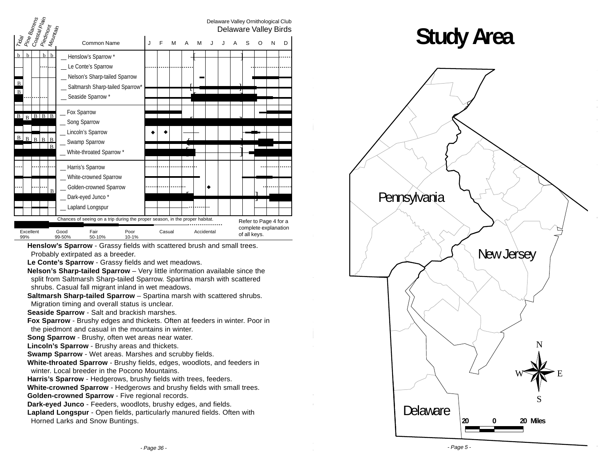| Pine Barrens<br>  Coastal Plain                                         |                                                                                                                                           |   |        |   |   |            |    |  |              |   | Delaware Valley Ornithological Club<br>Delaware Valley Birds |   |
|-------------------------------------------------------------------------|-------------------------------------------------------------------------------------------------------------------------------------------|---|--------|---|---|------------|----|--|--------------|---|--------------------------------------------------------------|---|
| Piedmont<br>Mountain<br>Tragi                                           | Common Name                                                                                                                               | J | E      | м | A | M          | ۱. |  | S            | O | N                                                            | D |
| $\mathbf b$<br>$\mathbf{b}$<br>b<br>$\mathbf{h}$<br>B<br>$\mathbf{B}$   | _ Henslow's Sparrow *<br>_ Le Conte's Sparrow<br>Nelson's Sharp-tailed Sparrow<br>_ Saltmarsh Sharp-tailed Sparrow*<br>_ Seaside Sparrow* |   |        |   |   |            |    |  |              |   |                                                              |   |
| $B$ $B$ $B$ $B$ $B$<br>$\mathbf B$<br>$B$ $B$ $B$ $B$<br>$\overline{B}$ | _ Fox Sparrow<br>_ Song Sparrow<br>_ Lincoln's Sparrow<br>_ Swamp Sparrow<br>_ White-throated Sparrow *                                   |   |        |   |   |            |    |  |              |   |                                                              |   |
| B                                                                       | _ Harris's Sparrow<br>White-crowned Sparrow<br>_ Golden-crowned Sparrow<br>_ Dark-eyed Junco*<br>_ Lapland Longspur                       |   |        |   |   |            |    |  |              |   |                                                              |   |
| Excellent<br>99%                                                        | Chances of seeing on a trip during the proper season, in the proper habitat.<br>Good<br>Fair<br>Poor<br>99-50%<br>50-10%<br>10-1%         |   | Casual |   |   | Accidental |    |  | of all keys. |   | Refer to Page 4 for a<br>complete explanation                |   |

**Henslow's Sparrow** - Grassy fields with scattered brush and small trees. Probably extirpated as a breeder.

**Le Conte's Sparrow** - Grassy fields and wet meadows.

**Nelson's Sharp-tailed Sparrow** – Very little information available since the split from Saltmarsh Sharp-tailed Sparrow. Spartina marsh with scattered shrubs. Casual fall migrant inland in wet meadows.

**Saltmarsh Sharp-tailed Sparrow** – Spartina marsh with scattered shrubs. Migration timing and overall status is unclear.

**Seaside Sparrow** - Salt and brackish marshes.

**Fox Sparrow** - Brushy edges and thickets. Often at feeders in winter. Poor in the piedmont and casual in the mountains in winter.

**Song Sparrow** - Brushy, often wet areas near water.

**Lincoln's Sparrow** - Brushy areas and thickets.

**Swamp Sparrow** - Wet areas. Marshes and scrubby fields.

**White-throated Sparrow** - Brushy fields, edges, woodlots, and feeders in winter. Local breeder in the Pocono Mountains.

**Harris's Sparrow** - Hedgerows, brushy fields with trees, feeders.

**White-crowned Sparrow** - Hedgerows and brushy fields with small trees.

**Golden-crowned Sparrow** - Five regional records.

**Dark-eyed Junco** - Feeders, woodlots, brushy edges, and fields.

**Lapland Longspur** - Open fields, particularly manured fields. Often with Horned Larks and Snow Buntings.

# **Study Area**

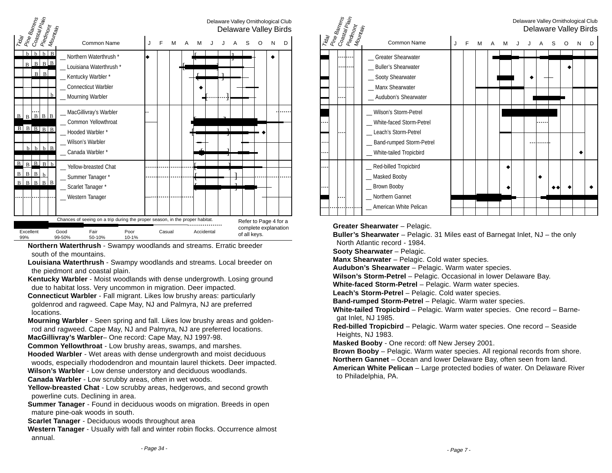

**Northern Waterthrush** - Swampy woodlands and streams. Erratic breeder south of the mountains.

**Louisiana Waterthrush** - Swampy woodlands and streams. Local breeder on the piedmont and coastal plain.

**Kentucky Warbler** - Moist woodlands with dense undergrowth. Losing ground due to habitat loss. Very uncommon in migration. Deer impacted.

**Connecticut Warbler** - Fall migrant. Likes low brushy areas: particularly goldenrod and ragweed. Cape May, NJ and Palmyra, NJ are preferred locations.

**Mourning Warbler** - Seen spring and fall. Likes low brushy areas and goldenrod and ragweed. Cape May, NJ and Palmyra, NJ are preferred locations. **MacGillivray's Warbler**– One record: Cape May, NJ 1997-98.

**Common Yellowthroat** - Low brushy areas, swamps, and marshes.

**Hooded Warbler** - Wet areas with dense undergrowth and moist deciduous woods, especially rhododendron and mountain laurel thickets. Deer impacted.

**Wilson's Warbler** - Low dense understory and deciduous woodlands.

**Canada Warbler** - Low scrubby areas, often in wet woods.

**Yellow-breasted Chat** - Low scrubby areas, hedgerows, and second growth powerline cuts. Declining in area.

**Summer Tanager** - Found in deciduous woods on migration. Breeds in open mature pine-oak woods in south.

**Scarlet Tanager** - Deciduous woods throughout area

**Western Tanager** - Usually with fall and winter robin flocks. Occurrence almost annual.



**Greater Shearwater** – Pelagic.

**Buller's Shearwater** – Pelagic. 31 Miles east of Barnegat Inlet, NJ – the only North Atlantic record - 1984.

**Sooty Shearwater** – Pelagic.

**Manx Shearwater** – Pelagic. Cold water species.

**Audubon's Shearwater** – Pelagic. Warm water species.

**Wilson's Storm-Petrel** – Pelagic. Occasional in lower Delaware Bay.

**White-faced Storm-Petrel** – Pelagic. Warm water species.

**Leach's Storm-Petrel** – Pelagic. Cold water species.

**Band-rumped Storm-Petrel** – Pelagic. Warm water species.

**White-tailed Tropicbird** – Pelagic. Warm water species. One record – Barnegat Inlet, NJ 1985.

**Red-billed Tropicbird** – Pelagic. Warm water species. One record – Seaside Heights, NJ 1983.

**Masked Booby** - One record: off New Jersey 2001.

**Brown Booby** – Pelagic. Warm water species. All regional records from shore. **Northern Gannet** – Ocean and lower Delaware Bay, often seen from land.

**American White Pelican** – Large protected bodies of water. On Delaware River to Philadelphia, PA.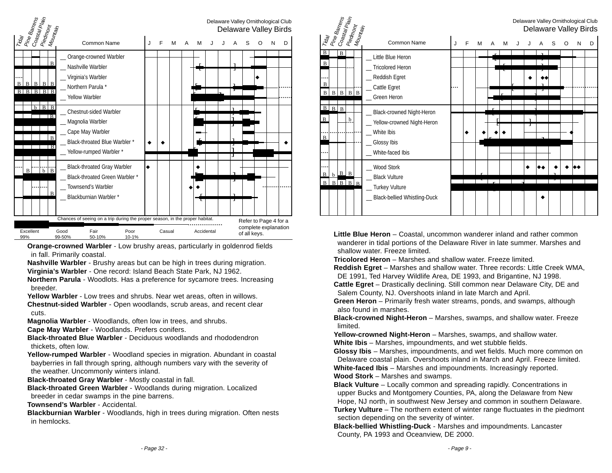

**Orange-crowned Warbler** - Low brushy areas, particularly in goldenrod fields in fall. Primarily coastal.

**Nashville Warbler** - Brushy areas but can be high in trees during migration. **Virginia's Warbler** - One record: Island Beach State Park, NJ 1962.

**Northern Parula** - Woodlots. Has a preference for sycamore trees. Increasing breeder.

**Yellow Warbler** - Low trees and shrubs. Near wet areas, often in willows.

**Chestnut-sided Warbler** - Open woodlands, scrub areas, and recent clear cuts.

**Magnolia Warbler** - Woodlands, often low in trees, and shrubs.

**Cape May Warbler** - Woodlands. Prefers conifers.

**Black-throated Blue Warbler** - Deciduous woodlands and rhododendron thickets, often low.

**Yellow-rumped Warbler** - Woodland species in migration. Abundant in coastal bayberries in fall through spring, although numbers vary with the severity of the weather. Uncommonly winters inland.

**Black-throated Gray Warbler** - Mostly coastal in fall.

**Black-throated Green Warbler** - Woodlands during migration. Localized breeder in cedar swamps in the pine barrens.

**Townsend's Warbler** - Accidental.

**Blackburnian Warbler** - Woodlands, high in trees during migration. Often nests in hemlocks.



**Little Blue Heron** – Coastal, uncommon wanderer inland and rather common wanderer in tidal portions of the Delaware River in late summer. Marshes and shallow water. Freeze limited.

**Tricolored Heron** – Marshes and shallow water. Freeze limited.

**Reddish Egret** – Marshes and shallow water. Three records: Little Creek WMA, DE 1991, Ted Harvey Wildlife Area, DE 1993, and Brigantine, NJ 1998.

**Cattle Egret** – Drastically declining. Still common near Delaware City, DE and Salem County, NJ. Overshoots inland in late March and April.

**Green Heron** – Primarily fresh water streams, ponds, and swamps, although also found in marshes.

**Black-crowned Night-Heron** – Marshes, swamps, and shallow water. Freeze limited.

**Yellow-crowned Night-Heron** – Marshes, swamps, and shallow water. **White Ibis** – Marshes, impoundments, and wet stubble fields.

**Glossy Ibis** – Marshes, impoundments, and wet fields. Much more common on Delaware coastal plain. Overshoots inland in March and April. Freeze limited. **White-faced Ibis** – Marshes and impoundments. Increasingly reported. **Wood Stork** – Marshes and swamps.

**Black Vulture** – Locally common and spreading rapidly. Concentrations in upper Bucks and Montgomery Counties, PA, along the Delaware from New Hope, NJ north, in southwest New Jersey and common in southern Delaware.

**Turkey Vulture** – The northern extent of winter range fluctuates in the piedmont section depending on the severity of winter.

**Black-bellied Whistling-Duck** - Marshes and impoundments. Lancaster County, PA 1993 and Oceanview, DE 2000.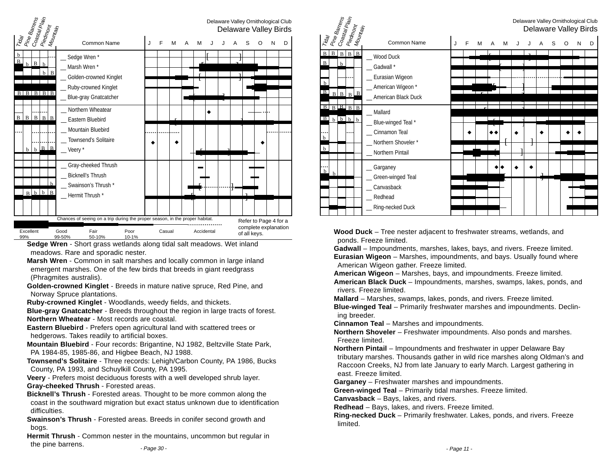| Tiday<br>Pine Barrens<br>Coastal Plain<br>Piedmont<br>Mou |                                                                                                                                   |                 |                                             |                                                                                                                          |   |   |        |   |   |            |  |                                                               |  |  |   | Delaware Valley Ornithological Club<br><b>Delaware Valley Birds</b> |  |  |
|-----------------------------------------------------------|-----------------------------------------------------------------------------------------------------------------------------------|-----------------|---------------------------------------------|--------------------------------------------------------------------------------------------------------------------------|---|---|--------|---|---|------------|--|---------------------------------------------------------------|--|--|---|---------------------------------------------------------------------|--|--|
|                                                           |                                                                                                                                   |                 | Mountain                                    | Common Name                                                                                                              | J | F | M      | A | M |            |  | S                                                             |  |  | D |                                                                     |  |  |
| $\mathbf b$<br>B<br>$B \mid B \mid B \mid B \mid B$       | $b \mid B$                                                                                                                        | $\mathbf b$     | $b \mid B$                                  | _ Sedge Wren*<br>Marsh Wren *<br>Golden-crowned Kinglet<br>_ Ruby-crowned Kinglet<br><b>Blue-gray Gnatcatcher</b>        |   |   |        |   |   |            |  |                                                               |  |  |   |                                                                     |  |  |
| $\mathbf{B}$                                              |                                                                                                                                   |                 | $B$ $B$ $B$ $B$<br>$b \mid b \mid B \mid B$ | Northern Wheatear<br>Eastern Bluebird<br>Mountain Bluebird<br>Townsend's Solitaire<br>$\mathsf{\_}$ Veery $\mathsf{\^*}$ |   |   |        |   |   |            |  |                                                               |  |  |   |                                                                     |  |  |
|                                                           |                                                                                                                                   | $B$ $b$ $b$ $B$ | h                                           | Gray-cheeked Thrush<br><b>Bicknell's Thrush</b><br>_ Swainson's Thrush *<br>_Hermit Thrush*                              |   |   |        |   |   |            |  |                                                               |  |  |   |                                                                     |  |  |
|                                                           |                                                                                                                                   |                 |                                             |                                                                                                                          |   |   |        |   |   |            |  |                                                               |  |  |   |                                                                     |  |  |
| Excellent<br>99%                                          | Chances of seeing on a trip during the proper season, in the proper habitat.<br>Good<br>Fair<br>Poor<br>99-50%<br>50-10%<br>10-1% |                 |                                             |                                                                                                                          |   |   | Casual |   |   | Accidental |  | Refer to Page 4 for a<br>complete explanation<br>of all keys. |  |  |   |                                                                     |  |  |

**Sedge Wren** - Short grass wetlands along tidal salt meadows. Wet inland meadows. Rare and sporadic nester.

**Marsh Wren** - Common in salt marshes and locally common in large inland emergent marshes. One of the few birds that breeds in giant reedgrass (Phragmites australis).

**Golden-crowned Kinglet** - Breeds in mature native spruce, Red Pine, and Norway Spruce plantations.

**Ruby-crowned Kinglet** - Woodlands, weedy fields, and thickets.

**Blue-gray Gnatcatcher** - Breeds throughout the region in large tracts of forest. **Northern Wheatear** - Most records are coastal.

**Eastern Bluebird** - Prefers open agricultural land with scattered trees or hedgerows. Takes readily to artificial boxes.

**Mountain Bluebird** - Four records: Brigantine, NJ 1982, Beltzville State Park, PA 1984-85, 1985-86, and Higbee Beach, NJ 1988.

**Townsend's Solitaire** - Three records: Lehigh/Carbon County, PA 1986, Bucks County, PA 1993, and Schuylkill County, PA 1995.

**Veery** - Prefers moist deciduous forests with a well developed shrub layer. **Gray-cheeked Thrush** - Forested areas.

**Bicknell's Thrush** - Forested areas. Thought to be more common along the coast in the southward migration but exact status unknown due to identification difficulties.

**Swainson's Thrush** - Forested areas. Breeds in conifer second growth and bogs.

**Hermit Thrush** - Common nester in the mountains, uncommon but regular in the pine barrens.



**Wood Duck** – Tree nester adjacent to freshwater streams, wetlands, and ponds. Freeze limited.

**Gadwall** – Impoundments, marshes, lakes, bays, and rivers. Freeze limited. **Eurasian Wigeon** – Marshes, impoundments, and bays. Usually found where American Wigeon gather. Freeze limited.

**American Wigeon** – Marshes, bays, and impoundments. Freeze limited.

**American Black Duck** – Impoundments, marshes, swamps, lakes, ponds, and rivers. Freeze limited.

**Mallard** – Marshes, swamps, lakes, ponds, and rivers. Freeze limited.

**Blue-winged Teal** – Primarily freshwater marshes and impoundments. Declining breeder.

**Cinnamon Teal** – Marshes and impoundments.

**Northern Shoveler** – Freshwater impoundments. Also ponds and marshes. Freeze limited.

**Northern Pintail** – Impoundments and freshwater in upper Delaware Bay tributary marshes. Thousands gather in wild rice marshes along Oldman's and Raccoon Creeks, NJ from late January to early March. Largest gathering in east. Freeze limited.

**Garganey** – Freshwater marshes and impoundments.

**Green-winged Teal** – Primarily tidal marshes. Freeze limited.

**Canvasback** – Bays, lakes, and rivers.

**Redhead** – Bays, lakes, and rivers. Freeze limited.

**Ring-necked Duck** – Primarily freshwater. Lakes, ponds, and rivers. Freeze limited.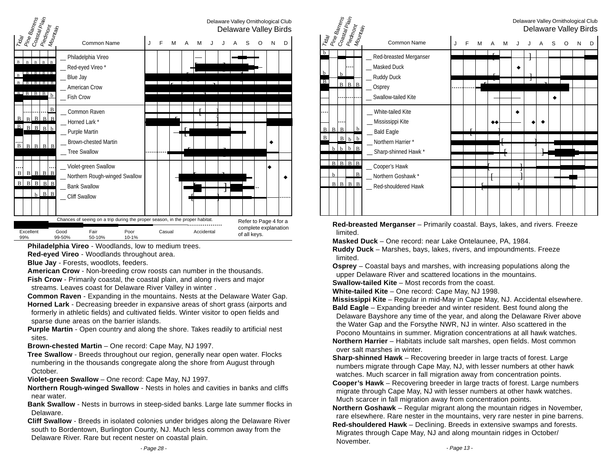

**Philadelphia Vireo** - Woodlands, low to medium trees.

**Red-eyed Vireo** - Woodlands throughout area.

**Blue Jay** - Forests, woodlots, feeders.

**American Crow** - Non-breeding crow roosts can number in the thousands.

**Fish Crow** - Primarily coastal, the coastal plain, and along rivers and major streams. Leaves coast for Delaware River Valley in winter .

**Common Raven** - Expanding in the mountains. Nests at the Delaware Water Gap.

**Horned Lark** - Decreasing breeder in expansive areas of short grass (airports and formerly in athletic fields) and cultivated fields. Winter visitor to open fields and sparse dune areas on the barrier islands.

**Purple Martin** - Open country and along the shore. Takes readily to artificial nest sites.

**Brown-chested Martin** – One record: Cape May, NJ 1997.

**Tree Swallow** - Breeds throughout our region, generally near open water. Flocks numbering in the thousands congregate along the shore from August through October.

**Violet-green Swallow** – One record: Cape May, NJ 1997.

**Northern Rough-winged Swallow** - Nests in holes and cavities in banks and cliffs near water.

**Bank Swallow** - Nests in burrows in steep-sided banks. Large late summer flocks in Delaware.

**Cliff Swallow** - Breeds in isolated colonies under bridges along the Delaware River south to Bordentown, Burlington County, NJ. Much less common away from the Delaware River. Rare but recent nester on coastal plain.



**Red-breasted Merganser** – Primarily coastal. Bays, lakes, and rivers. Freeze limited.

**Masked Duck** – One record: near Lake Ontelaunee, PA, 1984.

**Ruddy Duck** – Marshes, bays, lakes, rivers, and impoundments. Freeze limited.

**Osprey** – Coastal bays and marshes, with increasing populations along the upper Delaware River and scattered locations in the mountains. **Swallow-tailed Kite** – Most records from the coast.

**White-tailed Kite** – One record: Cape May, NJ 1998.

**Mississippi Kite** – Regular in mid-May in Cape May, NJ. Accidental elsewhere. **Bald Eagle** – Expanding breeder and winter resident. Best found along the Delaware Bayshore any time of the year, and along the Delaware River above the Water Gap and the Forsythe NWR, NJ in winter. Also scattered in the Pocono Mountains in summer. Migration concentrations at all hawk watches.

**Northern Harrier** – Habitats include salt marshes, open fields. Most common over salt marshes in winter.

**Sharp-shinned Hawk** – Recovering breeder in large tracts of forest. Large numbers migrate through Cape May, NJ, with lesser numbers at other hawk watches. Much scarcer in fall migration away from concentration points.

**Cooper's Hawk** – Recovering breeder in large tracts of forest. Large numbers migrate through Cape May, NJ with lesser numbers at other hawk watches. Much scarcer in fall migration away from concentration points.

**Northern Goshawk** – Regular migrant along the mountain ridges in November, rare elsewhere. Rare nester in the mountains, very rare nester in pine barrens.

**Red-shouldered Hawk** – Declining. Breeds in extensive swamps and forests. Migrates through Cape May, NJ and along mountain ridges in October/ November.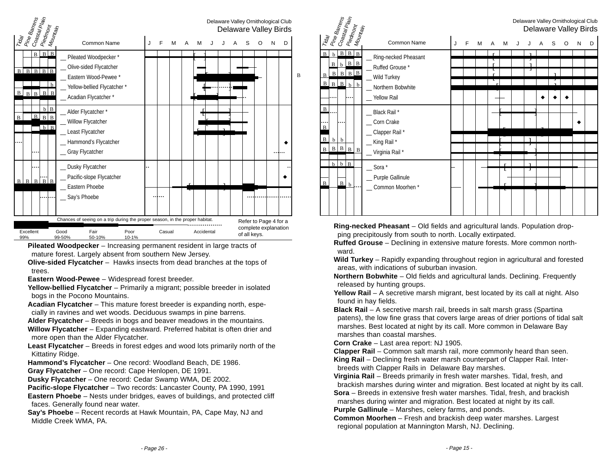

**Pileated Woodpecker** – Increasing permanent resident in large tracts of mature forest. Largely absent from southern New Jersey.

**Olive-sided Flycatcher** – Hawks insects from dead branches at the tops of trees.

**Eastern Wood-Pewee** – Widespread forest breeder.

**Yellow-bellied Flycatcher** – Primarily a migrant; possible breeder in isolated bogs in the Pocono Mountains.

**Acadian Flycatcher** – This mature forest breeder is expanding north, especially in ravines and wet woods. Deciduous swamps in pine barrens.

**Alder Flycatcher** – Breeds in bogs and beaver meadows in the mountains.

**Willow Flycatcher** – Expanding eastward. Preferred habitat is often drier and more open than the Alder Flycatcher.

**Least Flycatcher** – Breeds in forest edges and wood lots primarily north of the Kittatiny Ridge.

**Hammond's Flycatcher** – One record: Woodland Beach, DE 1986.

**Gray Flycatcher** – One record: Cape Henlopen, DE 1991.

**Dusky Flycatcher** – One record: Cedar Swamp WMA, DE 2002.

**Pacific-slope Flycatcher** – Two records: Lancaster County, PA 1990, 1991

**Eastern Phoebe** – Nests under bridges, eaves of buildings, and protected cliff faces. Generally found near water.

**Say's Phoebe** – Recent records at Hawk Mountain, PA, Cape May, NJ and Middle Creek WMA, PA.

| Trday<br>  Pine Barrens<br>Co <sub>astal</sub> Plain                                                                                                |                                                                                               |   |   |   |   |   |   |   |   |   |   |   | Delaware Valley Ornithological Club<br>Delaware Valley Birds |
|-----------------------------------------------------------------------------------------------------------------------------------------------------|-----------------------------------------------------------------------------------------------|---|---|---|---|---|---|---|---|---|---|---|--------------------------------------------------------------|
| Piedmont<br>Mounta <sub>in</sub>                                                                                                                    | Common Name                                                                                   | J | F | м | A | M | J | J | A | S | O | Ν | D                                                            |
| $B$ $B$ $B$<br>$\mathbf{B}$<br>$\mathbf b$<br>$b$ $B$ $B$<br>B<br>$B \mid B \mid B \mid B$<br>B<br>$\vert$ B<br>$B \ B$ <sub>b</sub><br>$\mathbf b$ | Ring-necked Pheasant<br>_Ruffed Grouse*<br>_ Wild Turkey<br>_ Northern Bobwhite               |   |   |   |   |   |   |   |   |   |   |   |                                                              |
| .<br>$\, {\bf B}$<br>$\cdots$<br>$\, {\bf B}$<br>$\, {\bf B}$<br>$\mathbf b$<br>b<br>$B \mid B \mid$<br>$\mathbf B$<br>$\, {\bf B}$<br>B            | Yellow Rail<br>Black Rail *<br>Corn Crake<br>Clapper Rail*<br>_King Rail*<br>_ Virginia Rail* |   |   |   |   |   |   | ı |   |   |   |   |                                                              |
| $\mathbf{b}$<br>B<br>$\mathbf b$<br>$\, {\bf B}$<br>$\vert$ B<br>$b$                                                                                | $\_$ Sora $*$<br>_ Purple Gallinule<br>_ Common Moorhen*                                      |   |   |   |   | τ |   | н |   |   |   |   |                                                              |

**Ring-necked Pheasant** – Old fields and agricultural lands. Population dropping precipitously from south to north. Locally extirpated.

**Ruffed Grouse** – Declining in extensive mature forests. More common northward.

**Wild Turkey** – Rapidly expanding throughout region in agricultural and forested areas, with indications of suburban invasion.

**Northern Bobwhite** – Old fields and agricultural lands. Declining. Frequently released by hunting groups.

**Yellow Rail** – A secretive marsh migrant, best located by its call at night. Also found in hay fields.

**Black Rail** – A secretive marsh rail, breeds in salt marsh grass (Spartina patens), the low fine grass that covers large areas of drier portions of tidal salt marshes. Best located at night by its call. More common in Delaware Bay marshes than coastal marshes.

**Corn Crake** – Last area report: NJ 1905.

**Clapper Rail** – Common salt marsh rail, more commonly heard than seen. **King Rail** – Declining fresh water marsh counterpart of Clapper Rail. Interbreeds with Clapper Rails in Delaware Bay marshes.

**Virginia Rail** – Breeds primarily in fresh water marshes. Tidal, fresh, and brackish marshes during winter and migration. Best located at night by its call. **Sora** – Breeds in extensive fresh water marshes. Tidal, fresh, and brackish

marshes during winter and migration. Best located at night by its call.

**Purple Gallinule** – Marshes, celery farms, and ponds.

**Common Moorhen** – Fresh and brackish deep water marshes. Largest regional population at Mannington Marsh, NJ. Declining.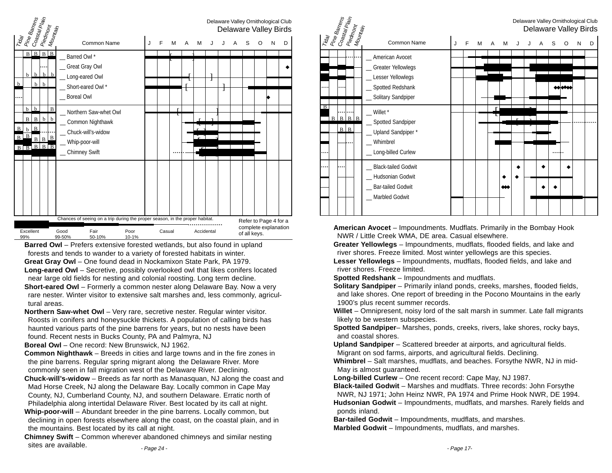|                                                                                                                                      |                                                                                     |                                              |                       |                    |                                  |                                                                                                           |                      |   |   |        |   |   |  | Delaware Valley Ornithological Club<br>Delaware Valley Birds  |  |   |   |   |   |  |
|--------------------------------------------------------------------------------------------------------------------------------------|-------------------------------------------------------------------------------------|----------------------------------------------|-----------------------|--------------------|----------------------------------|-----------------------------------------------------------------------------------------------------------|----------------------|---|---|--------|---|---|--|---------------------------------------------------------------|--|---|---|---|---|--|
|                                                                                                                                      | Trday<br>  Pine Barrens<br>  Coastal Plain<br>Piedmont<br>  Mountain<br>Common Name |                                              |                       |                    |                                  |                                                                                                           |                      | J | F | М      | A | M |  |                                                               |  | S | O | N | D |  |
| $\mathbf b$                                                                                                                          | $\mathbf b$                                                                         | $B \ B \ B$<br>b<br>$\mathbf b$              | b<br>b                | b                  | Barred Owl*<br><b>Boreal Owl</b> | <b>Great Gray Owl</b><br>Long-eared Owl<br>Short-eared Owl*                                               |                      |   |   |        |   |   |  | ٦                                                             |  |   |   |   |   |  |
| $\, {\bf B}$<br>$\overline{B}$<br>B                                                                                                  | $\mathbf b$<br>B<br>h<br>B                                                          | $\mathbf b$<br>$\overline{B}$<br>B<br>R<br>B | b<br>$B \overline{B}$ | $\bf{B}$<br>b<br>B |                                  | Northern Saw-whet Owl<br>Common Nighthawk<br>Chuck-will's-widow<br>Whip-poor-will<br><b>Chimney Swift</b> |                      |   |   | г<br>τ |   |   |  |                                                               |  |   |   |   |   |  |
| Chances of seeing on a trip during the proper season, in the proper habitat.<br>Excellent<br>Good<br>Fair<br>99%<br>99-50%<br>50-10% |                                                                                     |                                              |                       |                    |                                  | Poor<br>10-1%                                                                                             | Accidental<br>Casual |   |   |        |   |   |  | Refer to Page 4 for a<br>complete explanation<br>of all keys. |  |   |   |   |   |  |

**Barred Owl** – Prefers extensive forested wetlands, but also found in upland forests and tends to wander to a variety of forested habitats in winter. **Great Gray Owl** – One found dead in Nockamixon State Park, PA 1979.

**Long-eared Owl** – Secretive, possibly overlooked owl that likes conifers located near large old fields for nesting and colonial roosting. Long term decline.

**Short-eared Owl** – Formerly a common nester along Delaware Bay. Now a very rare nester. Winter visitor to extensive salt marshes and, less commonly, agricultural areas.

**Northern Saw-whet Owl** – Very rare, secretive nester. Regular winter visitor. Roosts in conifers and honeysuckle thickets. A population of calling birds has haunted various parts of the pine barrens for years, but no nests have been found. Recent nests in Bucks County, PA and Palmyra, NJ

**Boreal Owl** – One record: New Brunswick, NJ 1962.

**Common Nighthawk** – Breeds in cities and large towns and in the fire zones in the pine barrens. Regular spring migrant along the Delaware River. More commonly seen in fall migration west of the Delaware River. Declining.

**Chuck-will's-widow** – Breeds as far north as Manasquan, NJ along the coast and Mad Horse Creek, NJ along the Delaware Bay. Locally common in Cape May County, NJ, Cumberland County, NJ, and southern Delaware. Erratic north of

Philadelphia along intertidal Delaware River. Best located by its call at night. **Whip-poor-will** – Abundant breeder in the pine barrens. Locally common, but declining in open forests elsewhere along the coast, on the coastal plain, and in

the mountains. Best located by its call at night.

**Chimney Swift** – Common wherever abandoned chimneys and similar nesting sites are available. - Page 24 -



**American Avocet** – Impoundments. Mudflats. Primarily in the Bombay Hook NWR / Little Creek WMA, DE area. Casual elsewhere.

**Greater Yellowlegs** – Impoundments, mudflats, flooded fields, and lake and river shores. Freeze limited. Most winter yellowlegs are this species.

**Lesser Yellowlegs** – Impoundments, mudflats, flooded fields, and lake and river shores. Freeze limited.

**Spotted Redshank** – Impoundments and mudflats.

**Solitary Sandpiper** – Primarily inland ponds, creeks, marshes, flooded fields, and lake shores. One report of breeding in the Pocono Mountains in the early 1900's plus recent summer records.

**Willet** – Omnipresent, noisy lord of the salt marsh in summer. Late fall migrants likely to be western subspecies.

**Spotted Sandpiper**– Marshes, ponds, creeks, rivers, lake shores, rocky bays, and coastal shores.

**Upland Sandpiper** – Scattered breeder at airports, and agricultural fields. Migrant on sod farms, airports, and agricultural fields. Declining.

**Whimbrel** – Salt marshes, mudflats, and beaches. Forsythe NWR, NJ in mid-May is almost guaranteed.

**Long-billed Curlew** – One recent record: Cape May, NJ 1987.

**Black-tailed Godwit** – Marshes and mudflats. Three records: John Forsythe NWR, NJ 1971; John Heinz NWR, PA 1974 and Prime Hook NWR, DE 1994.

**Hudsonian Godwit** – Impoundments, mudflats, and marshes. Rarely fields and ponds inland.

**Bar-tailed Godwit** – Impoundments, mudflats, and marshes.

**Marbled Godwit** – Impoundments, mudflats, and marshes.